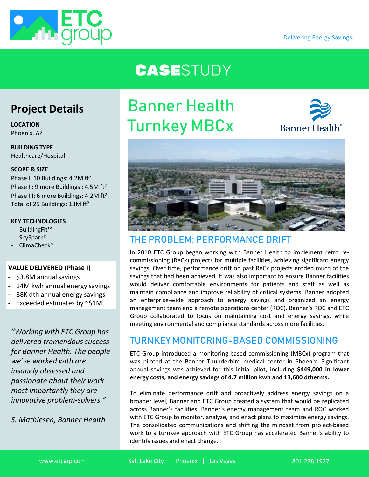

## **CASE**STUDY

## **Project Details**

**LOCATION**

Phoenix, AZ

**BUILDING TYPE** Healthcare/Hospital

#### **SCOPE & SIZE**

Phase I: 10 Buildings: 4.2M ft<sup>2</sup> Phase II: 9 more Buildings : 4.5M ft<sup>2</sup> Phase III: 6 more Buildings: 4.2M ft<sup>2</sup> Total of 25 Buildings: 13M ft<sup>2</sup>

#### **KEY TECHNOLOGIES**

- BuildingFit™
- SkySpark**®**
- ClimaCheck**®**

#### **VALUE DELIVERED (Phase I)**

- \$3.8M annual savings
- 14M kwh annual energy savings
- 88K dth annual energy savings
- Exceeded estimates by ~\$1M

*"Working with ETC Group has delivered tremendous success for Banner Health. The people we've worked with are insanely obsessed and passionate about their work – most importantly they are innovative problem-solvers."* 

*S. Mathiesen, Banner Health*

# Banner Health Turnkey MBCx





### THE PROBLEM: PERFORMANCE DRIFT

In 2010 ETC Group began working with Banner Health to implement retro recommissioning (ReCx) projects for multiple facilities, achieving significant energy savings. Over time, performance drift on past ReCx projects eroded much of the savings that had been achieved. It was also important to ensure Banner facilities would deliver comfortable environments for patients and staff as well as maintain compliance and improve reliability of critical systems. Banner adopted an enterprise-wide approach to energy savings and organized an energy management team and a remote operations center (ROC). Banner's ROC and ETC Group collaborated to focus on maintaining cost and energy savings, while meeting environmental and compliance standards across more facilities.

## TURNKEY MONITORING-BASED COMMISSIONING

ETC Group introduced a monitoring-based commissioning (MBCx) program that was piloted at the Banner Thunderbird medical center in Phoenix. Significant annual savings was achieved for this initial pilot, including **\$449,000 in lower energy costs, and energy savings of 4.7 million kwh and 13,600 dtherms.**

To eliminate performance drift and proactively address energy savings on a broader level, Banner and ETC Group created a system that would be replicated across Banner's facilities. Banner's energy management team and ROC worked with ETC Group to monitor, analyze, and enact plans to maximize energy savings. The consolidated communications and shifting the mindset from project-based work to a turnkey approach with ETC Group has accelerated Banner's ability to identify issues and enact change.